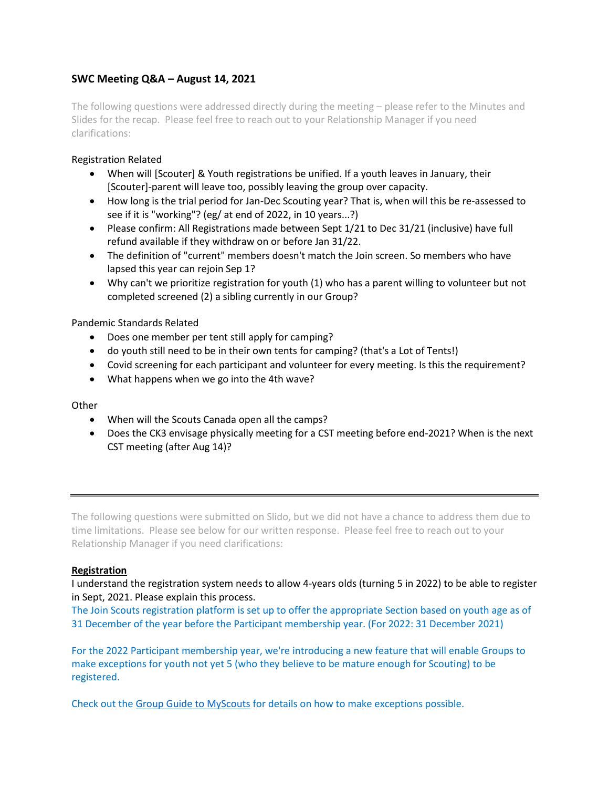# **SWC Meeting Q&A – August 14, 2021**

The following questions were addressed directly during the meeting – please refer to the Minutes and Slides for the recap. Please feel free to reach out to your Relationship Manager if you need clarifications:

# Registration Related

- When will [Scouter] & Youth registrations be unified. If a youth leaves in January, their [Scouter]-parent will leave too, possibly leaving the group over capacity.
- How long is the trial period for Jan-Dec Scouting year? That is, when will this be re-assessed to see if it is "working"? (eg/ at end of 2022, in 10 years...?)
- Please confirm: All Registrations made between Sept 1/21 to Dec 31/21 (inclusive) have full refund available if they withdraw on or before Jan 31/22.
- The definition of "current" members doesn't match the Join screen. So members who have lapsed this year can rejoin Sep 1?
- Why can't we prioritize registration for youth (1) who has a parent willing to volunteer but not completed screened (2) a sibling currently in our Group?

# Pandemic Standards Related

- Does one member per tent still apply for camping?
- do youth still need to be in their own tents for camping? (that's a Lot of Tents!)
- Covid screening for each participant and volunteer for every meeting. Is this the requirement?
- What happens when we go into the 4th wave?

# **Other**

- When will the Scouts Canada open all the camps?
- Does the CK3 envisage physically meeting for a CST meeting before end-2021? When is the next CST meeting (after Aug 14)?

The following questions were submitted on Slido, but we did not have a chance to address them due to time limitations. Please see below for our written response. Please feel free to reach out to your Relationship Manager if you need clarifications:

#### **Registration**

I understand the registration system needs to allow 4-years olds (turning 5 in 2022) to be able to register in Sept, 2021. Please explain this process.

The Join Scouts registration platform is set up to offer the appropriate Section based on youth age as of 31 December of the year before the Participant membership year. (For 2022: 31 December 2021)

For the 2022 Participant membership year, we're introducing a new feature that will enable Groups to make exceptions for youth not yet 5 (who they believe to be mature enough for Scouting) to be registered.

Check out th[e Group Guide to MyScouts](https://files.constantcontact.com/16af778a101/844fd027-393b-47cd-93cb-78c19c97ba23.pdf) for details on how to make exceptions possible.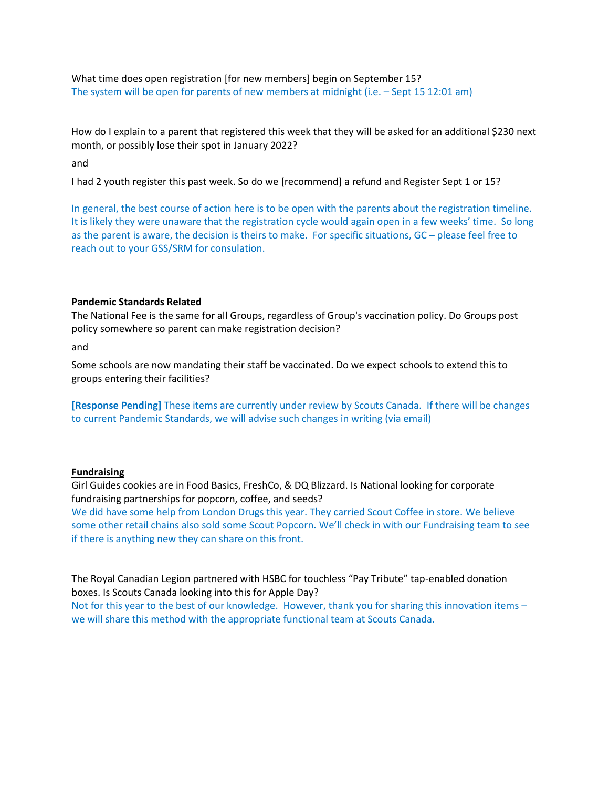What time does open registration [for new members] begin on September 15? The system will be open for parents of new members at midnight (i.e. – Sept 15 12:01 am)

How do I explain to a parent that registered this week that they will be asked for an additional \$230 next month, or possibly lose their spot in January 2022?

and

I had 2 youth register this past week. So do we [recommend] a refund and Register Sept 1 or 15?

In general, the best course of action here is to be open with the parents about the registration timeline. It is likely they were unaware that the registration cycle would again open in a few weeks' time. So long as the parent is aware, the decision is theirs to make. For specific situations, GC – please feel free to reach out to your GSS/SRM for consulation.

#### **Pandemic Standards Related**

The National Fee is the same for all Groups, regardless of Group's vaccination policy. Do Groups post policy somewhere so parent can make registration decision?

and

Some schools are now mandating their staff be vaccinated. Do we expect schools to extend this to groups entering their facilities?

**[Response Pending]** These items are currently under review by Scouts Canada. If there will be changes to current Pandemic Standards, we will advise such changes in writing (via email)

#### **Fundraising**

Girl Guides cookies are in Food Basics, FreshCo, & DQ Blizzard. Is National looking for corporate fundraising partnerships for popcorn, coffee, and seeds?

We did have some help from London Drugs this year. They carried Scout Coffee in store. We believe some other retail chains also sold some Scout Popcorn. We'll check in with our Fundraising team to see if there is anything new they can share on this front.

The Royal Canadian Legion partnered with HSBC for touchless "Pay Tribute" tap-enabled donation boxes. Is Scouts Canada looking into this for Apple Day? Not for this year to the best of our knowledge. However, thank you for sharing this innovation items – we will share this method with the appropriate functional team at Scouts Canada.